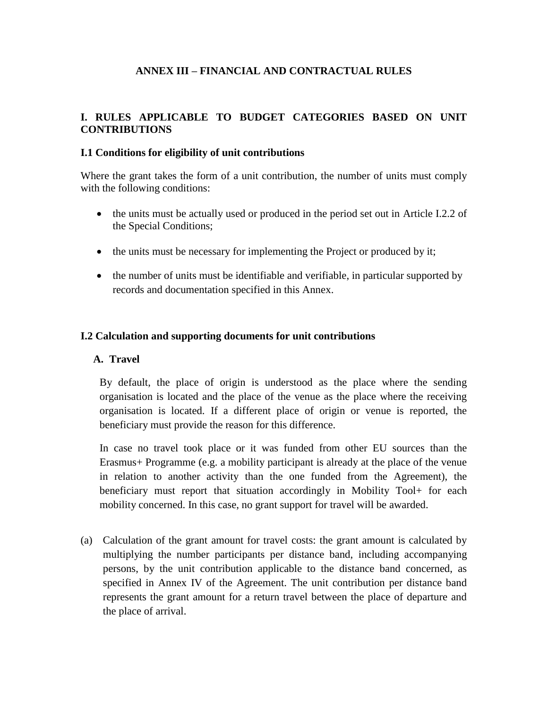### **ANNEX III – FINANCIAL AND CONTRACTUAL RULES**

#### **I. RULES APPLICABLE TO BUDGET CATEGORIES BASED ON UNIT CONTRIBUTIONS**

#### **I.1 Conditions for eligibility of unit contributions**

Where the grant takes the form of a unit contribution, the number of units must comply with the following conditions:

- the units must be actually used or produced in the period set out in Article I.2.2 of the Special Conditions;
- the units must be necessary for implementing the Project or produced by it;
- the number of units must be identifiable and verifiable, in particular supported by records and documentation specified in this Annex.

#### **I.2 Calculation and supporting documents for unit contributions**

#### **A. Travel**

By default, the place of origin is understood as the place where the sending organisation is located and the place of the venue as the place where the receiving organisation is located. If a different place of origin or venue is reported, the beneficiary must provide the reason for this difference.

In case no travel took place or it was funded from other EU sources than the Erasmus+ Programme (e.g. a mobility participant is already at the place of the venue in relation to another activity than the one funded from the Agreement), the beneficiary must report that situation accordingly in Mobility Tool+ for each mobility concerned. In this case, no grant support for travel will be awarded.

(a) Calculation of the grant amount for travel costs: the grant amount is calculated by multiplying the number participants per distance band, including accompanying persons, by the unit contribution applicable to the distance band concerned, as specified in Annex IV of the Agreement. The unit contribution per distance band represents the grant amount for a return travel between the place of departure and the place of arrival.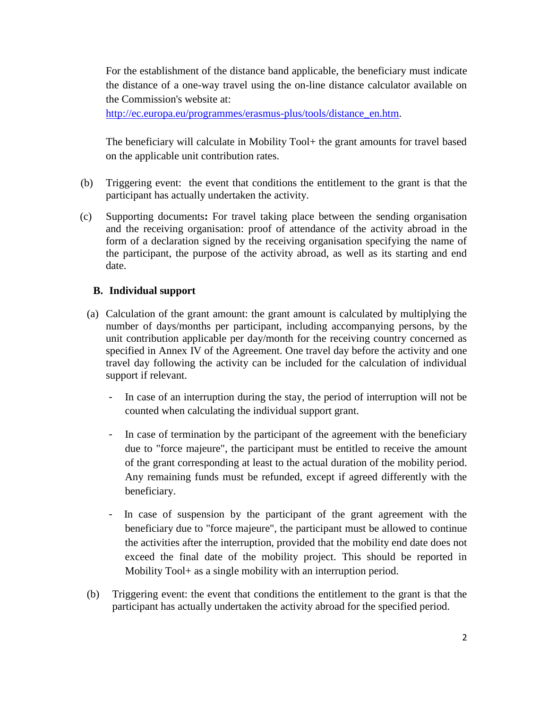For the establishment of the distance band applicable, the beneficiary must indicate the distance of a one-way travel using the on-line distance calculator available on the Commission's website at:

[http://ec.europa.eu/programmes/erasmus-plus/tools/distance\\_en.htm.](http://ec.europa.eu/programmes/erasmus-plus/tools/distance_en.htm)

The beneficiary will calculate in Mobility Tool+ the grant amounts for travel based on the applicable unit contribution rates.

- (b) Triggering event: the event that conditions the entitlement to the grant is that the participant has actually undertaken the activity.
- (c) Supporting documents**:** For travel taking place between the sending organisation and the receiving organisation: proof of attendance of the activity abroad in the form of a declaration signed by the receiving organisation specifying the name of the participant, the purpose of the activity abroad, as well as its starting and end date.

### **B. Individual support**

- (a) Calculation of the grant amount: the grant amount is calculated by multiplying the number of days/months per participant, including accompanying persons, by the unit contribution applicable per day/month for the receiving country concerned as specified in Annex IV of the Agreement. One travel day before the activity and one travel day following the activity can be included for the calculation of individual support if relevant.
	- In case of an interruption during the stay, the period of interruption will not be counted when calculating the individual support grant.
	- In case of termination by the participant of the agreement with the beneficiary due to "force majeure", the participant must be entitled to receive the amount of the grant corresponding at least to the actual duration of the mobility period. Any remaining funds must be refunded, except if agreed differently with the beneficiary.
	- In case of suspension by the participant of the grant agreement with the beneficiary due to "force majeure", the participant must be allowed to continue the activities after the interruption, provided that the mobility end date does not exceed the final date of the mobility project. This should be reported in Mobility Tool+ as a single mobility with an interruption period.
- (b) Triggering event: the event that conditions the entitlement to the grant is that the participant has actually undertaken the activity abroad for the specified period.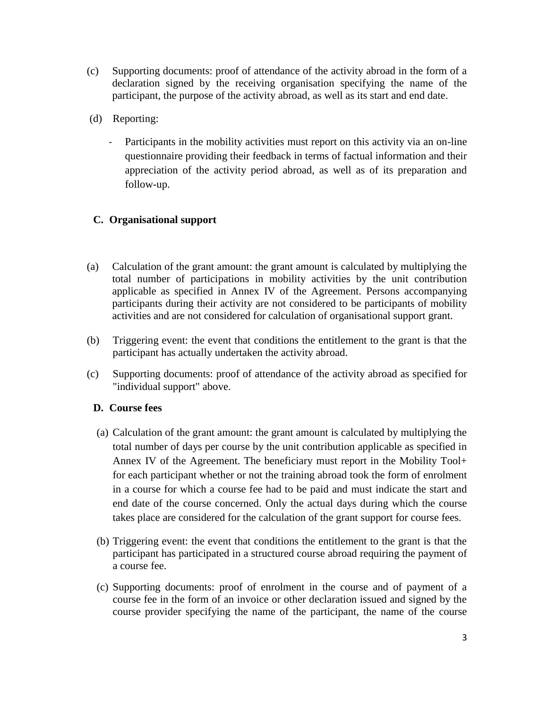- (c) Supporting documents: proof of attendance of the activity abroad in the form of a declaration signed by the receiving organisation specifying the name of the participant, the purpose of the activity abroad, as well as its start and end date.
- (d) Reporting:
	- Participants in the mobility activities must report on this activity via an on-line questionnaire providing their feedback in terms of factual information and their appreciation of the activity period abroad, as well as of its preparation and follow-up.

## **C. Organisational support**

- (a) Calculation of the grant amount: the grant amount is calculated by multiplying the total number of participations in mobility activities by the unit contribution applicable as specified in Annex IV of the Agreement. Persons accompanying participants during their activity are not considered to be participants of mobility activities and are not considered for calculation of organisational support grant.
- (b) Triggering event: the event that conditions the entitlement to the grant is that the participant has actually undertaken the activity abroad.
- (c) Supporting documents: proof of attendance of the activity abroad as specified for "individual support" above.

### **D. Course fees**

- (a) Calculation of the grant amount: the grant amount is calculated by multiplying the total number of days per course by the unit contribution applicable as specified in Annex IV of the Agreement. The beneficiary must report in the Mobility Tool+ for each participant whether or not the training abroad took the form of enrolment in a course for which a course fee had to be paid and must indicate the start and end date of the course concerned. Only the actual days during which the course takes place are considered for the calculation of the grant support for course fees.
- (b) Triggering event: the event that conditions the entitlement to the grant is that the participant has participated in a structured course abroad requiring the payment of a course fee.
- (c) Supporting documents: proof of enrolment in the course and of payment of a course fee in the form of an invoice or other declaration issued and signed by the course provider specifying the name of the participant, the name of the course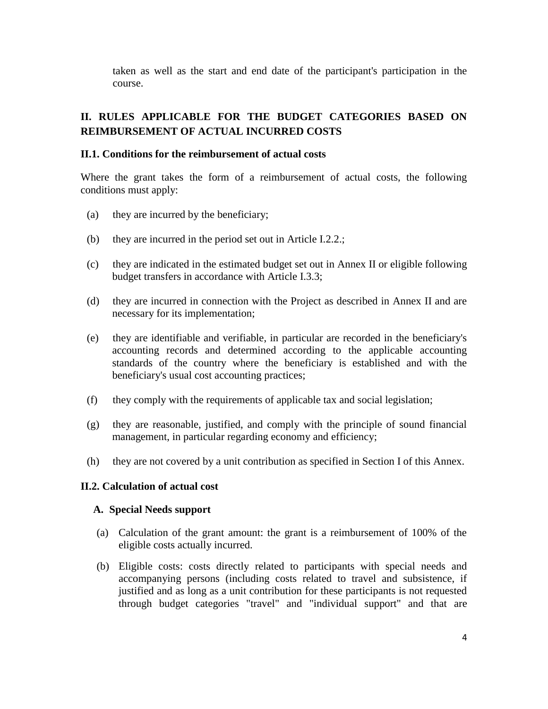taken as well as the start and end date of the participant's participation in the course.

# **II. RULES APPLICABLE FOR THE BUDGET CATEGORIES BASED ON REIMBURSEMENT OF ACTUAL INCURRED COSTS**

#### **II.1. Conditions for the reimbursement of actual costs**

Where the grant takes the form of a reimbursement of actual costs, the following conditions must apply:

- (a) they are incurred by the beneficiary;
- (b) they are incurred in the period set out in Article I.2.2.;
- (c) they are indicated in the estimated budget set out in Annex II or eligible following budget transfers in accordance with Article I.3.3;
- (d) they are incurred in connection with the Project as described in Annex II and are necessary for its implementation;
- (e) they are identifiable and verifiable, in particular are recorded in the beneficiary's accounting records and determined according to the applicable accounting standards of the country where the beneficiary is established and with the beneficiary's usual cost accounting practices;
- (f) they comply with the requirements of applicable tax and social legislation;
- (g) they are reasonable, justified, and comply with the principle of sound financial management, in particular regarding economy and efficiency;
- (h) they are not covered by a unit contribution as specified in Section I of this Annex.

#### **II.2. Calculation of actual cost**

#### **A. Special Needs support**

- (a) Calculation of the grant amount: the grant is a reimbursement of 100% of the eligible costs actually incurred.
- (b) Eligible costs: costs directly related to participants with special needs and accompanying persons (including costs related to travel and subsistence, if justified and as long as a unit contribution for these participants is not requested through budget categories "travel" and "individual support" and that are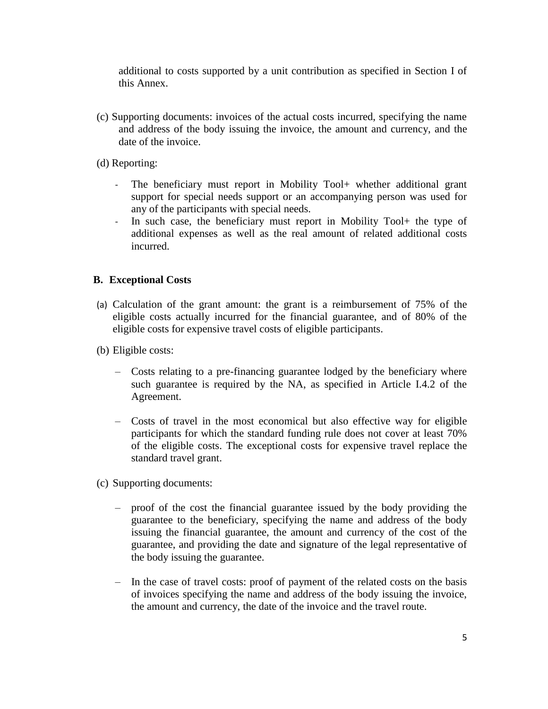additional to costs supported by a unit contribution as specified in Section I of this Annex.

- (c) Supporting documents: invoices of the actual costs incurred, specifying the name and address of the body issuing the invoice, the amount and currency, and the date of the invoice.
- (d) Reporting:
	- The beneficiary must report in Mobility Tool+ whether additional grant support for special needs support or an accompanying person was used for any of the participants with special needs.
	- In such case, the beneficiary must report in Mobility Tool+ the type of additional expenses as well as the real amount of related additional costs incurred.

#### **B. Exceptional Costs**

- (a) Calculation of the grant amount: the grant is a reimbursement of 75% of the eligible costs actually incurred for the financial guarantee, and of 80% of the eligible costs for expensive travel costs of eligible participants.
- (b) Eligible costs:
	- Costs relating to a pre-financing guarantee lodged by the beneficiary where such guarantee is required by the NA, as specified in Article I.4.2 of the Agreement.
	- Costs of travel in the most economical but also effective way for eligible participants for which the standard funding rule does not cover at least 70% of the eligible costs. The exceptional costs for expensive travel replace the standard travel grant.
- (c) Supporting documents:
	- proof of the cost the financial guarantee issued by the body providing the guarantee to the beneficiary, specifying the name and address of the body issuing the financial guarantee, the amount and currency of the cost of the guarantee, and providing the date and signature of the legal representative of the body issuing the guarantee.
	- In the case of travel costs: proof of payment of the related costs on the basis of invoices specifying the name and address of the body issuing the invoice, the amount and currency, the date of the invoice and the travel route.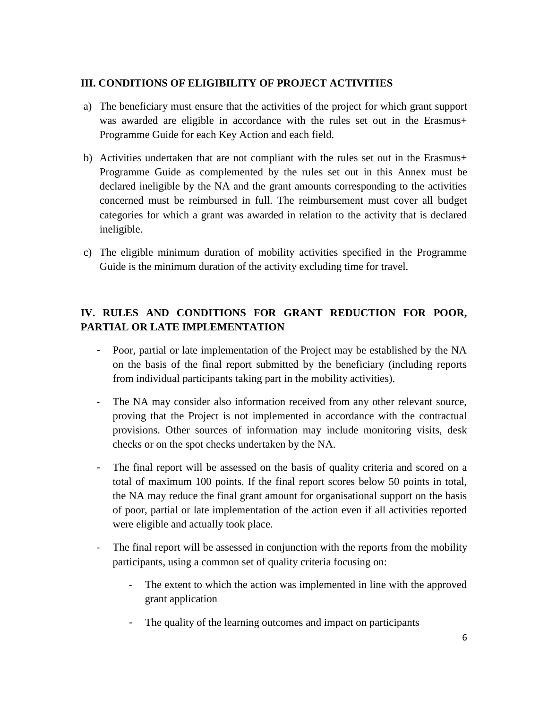### **III. CONDITIONS OF ELIGIBILITY OF PROJECT ACTIVITIES**

- a) The beneficiary must ensure that the activities of the project for which grant support was awarded are eligible in accordance with the rules set out in the Erasmus+ Programme Guide for each Key Action and each field.
- b) Activities undertaken that are not compliant with the rules set out in the Erasmus+ Programme Guide as complemented by the rules set out in this Annex must be declared ineligible by the NA and the grant amounts corresponding to the activities concerned must be reimbursed in full. The reimbursement must cover all budget categories for which a grant was awarded in relation to the activity that is declared ineligible.
- c) The eligible minimum duration of mobility activities specified in the Programme Guide is the minimum duration of the activity excluding time for travel.

# **IV. RULES AND CONDITIONS FOR GRANT REDUCTION FOR POOR, PARTIAL OR LATE IMPLEMENTATION**

- Poor, partial or late implementation of the Project may be established by the NA on the basis of the final report submitted by the beneficiary (including reports from individual participants taking part in the mobility activities).
- The NA may consider also information received from any other relevant source, proving that the Project is not implemented in accordance with the contractual provisions. Other sources of information may include monitoring visits, desk checks or on the spot checks undertaken by the NA.
- The final report will be assessed on the basis of quality criteria and scored on a total of maximum 100 points. If the final report scores below 50 points in total, the NA may reduce the final grant amount for organisational support on the basis of poor, partial or late implementation of the action even if all activities reported were eligible and actually took place.
- The final report will be assessed in conjunction with the reports from the mobility participants, using a common set of quality criteria focusing on:
	- The extent to which the action was implemented in line with the approved grant application
	- The quality of the learning outcomes and impact on participants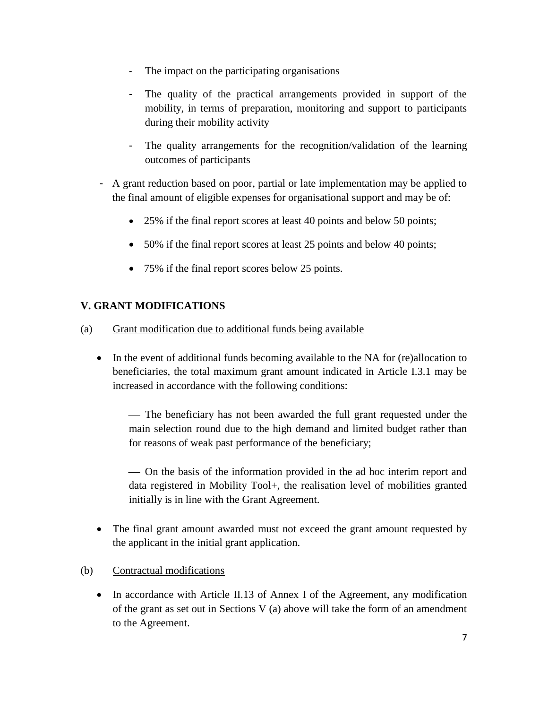- The impact on the participating organisations
- The quality of the practical arrangements provided in support of the mobility, in terms of preparation, monitoring and support to participants during their mobility activity
- The quality arrangements for the recognition/validation of the learning outcomes of participants
- A grant reduction based on poor, partial or late implementation may be applied to the final amount of eligible expenses for organisational support and may be of:
	- 25% if the final report scores at least 40 points and below 50 points;
	- 50% if the final report scores at least 25 points and below 40 points;
	- 75% if the final report scores below 25 points.

## **V. GRANT MODIFICATIONS**

- (a) Grant modification due to additional funds being available
	- In the event of additional funds becoming available to the NA for (re)allocation to beneficiaries, the total maximum grant amount indicated in Article I.3.1 may be increased in accordance with the following conditions:

— The beneficiary has not been awarded the full grant requested under the main selection round due to the high demand and limited budget rather than for reasons of weak past performance of the beneficiary;

— On the basis of the information provided in the ad hoc interim report and data registered in Mobility Tool+, the realisation level of mobilities granted initially is in line with the Grant Agreement.

- The final grant amount awarded must not exceed the grant amount requested by the applicant in the initial grant application.
- (b) Contractual modifications
	- In accordance with Article II.13 of Annex I of the Agreement, any modification of the grant as set out in Sections V (a) above will take the form of an amendment to the Agreement.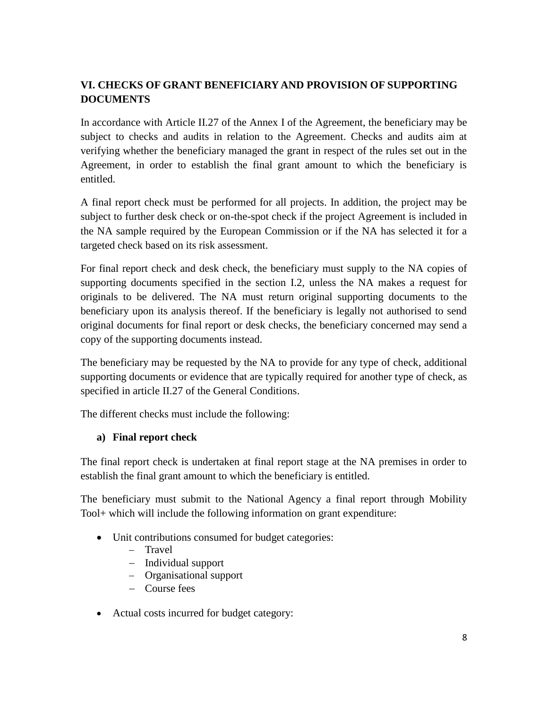# **VI. CHECKS OF GRANT BENEFICIARY AND PROVISION OF SUPPORTING DOCUMENTS**

In accordance with Article II.27 of the Annex I of the Agreement, the beneficiary may be subject to checks and audits in relation to the Agreement. Checks and audits aim at verifying whether the beneficiary managed the grant in respect of the rules set out in the Agreement, in order to establish the final grant amount to which the beneficiary is entitled.

A final report check must be performed for all projects. In addition, the project may be subject to further desk check or on-the-spot check if the project Agreement is included in the NA sample required by the European Commission or if the NA has selected it for a targeted check based on its risk assessment.

For final report check and desk check, the beneficiary must supply to the NA copies of supporting documents specified in the section I.2, unless the NA makes a request for originals to be delivered. The NA must return original supporting documents to the beneficiary upon its analysis thereof. If the beneficiary is legally not authorised to send original documents for final report or desk checks, the beneficiary concerned may send a copy of the supporting documents instead.

The beneficiary may be requested by the NA to provide for any type of check, additional supporting documents or evidence that are typically required for another type of check, as specified in article II.27 of the General Conditions.

The different checks must include the following:

### **a) Final report check**

The final report check is undertaken at final report stage at the NA premises in order to establish the final grant amount to which the beneficiary is entitled.

The beneficiary must submit to the National Agency a final report through Mobility Tool+ which will include the following information on grant expenditure:

- Unit contributions consumed for budget categories:
	- − Travel
	- − Individual support
	- − Organisational support
	- − Course fees
- Actual costs incurred for budget category: